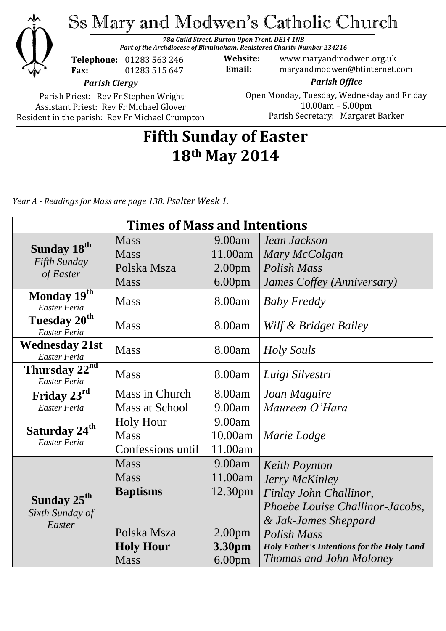

*Part of the Archdiocese of Birmingham, Registered Charity Number 234216*



**Telephone:** 01283 563 246 **Fax:** 01283 515 647

**Website:** www.maryandmodwen.org.uk **Email:** maryandmodwen@btinternet.com

*Parish Clergy*

Parish Priest: Rev Fr Stephen Wright Assistant Priest: Rev Fr Michael Glover Resident in the parish: Rev Fr Michael Crumpton

*Parish Office* Open Monday, Tuesday, Wednesday and Friday 10.00am – 5.00pm Parish Secretary:Margaret Barker

# **Fifth Sunday of Easter 18th May 2014**

*Year A - Readings for Mass are page 138. Psalter Week 1.*

| <b>Times of Mass and Intentions</b>                  |                   |                    |                                                   |
|------------------------------------------------------|-------------------|--------------------|---------------------------------------------------|
|                                                      | <b>Mass</b>       | 9.00am             | Jean Jackson                                      |
| Sunday 18 <sup>th</sup><br>Fifth Sunday<br>of Easter | <b>Mass</b>       | 11.00am            | Mary McColgan                                     |
|                                                      | Polska Msza       | 2.00 <sub>pm</sub> | <b>Polish Mass</b>                                |
|                                                      | <b>Mass</b>       | 6.00 <sub>pm</sub> | James Coffey (Anniversary)                        |
| Monday 19th<br>Easter Feria                          | <b>Mass</b>       | 8.00am             | <b>Baby Freddy</b>                                |
| Tuesday 20 <sup>th</sup><br>Easter Feria             | <b>Mass</b>       | 8.00am             | Wilf & Bridget Bailey                             |
| <b>Wednesday 21st</b><br>Easter Feria                | <b>Mass</b>       | 8.00am             | <b>Holy Souls</b>                                 |
| Thursday 22 <sup>nd</sup><br>Easter Feria            | <b>Mass</b>       | 8.00am             | Luigi Silvestri                                   |
| Friday 23rd                                          | Mass in Church    | 8.00am             | Joan Maguire                                      |
| Easter Feria                                         | Mass at School    | 9.00am             | Maureen O'Hara                                    |
| Saturday 24 <sup>th</sup><br>Easter Feria            | <b>Holy Hour</b>  | 9.00am             |                                                   |
|                                                      | <b>Mass</b>       | 10.00am            | Marie Lodge                                       |
|                                                      | Confessions until | 11.00am            |                                                   |
| Sunday 25 <sup>th</sup><br>Sixth Sunday of<br>Easter | <b>Mass</b>       | 9.00am             | <b>Keith Poynton</b>                              |
|                                                      | <b>Mass</b>       | 11.00am            | Jerry McKinley                                    |
|                                                      | <b>Baptisms</b>   | 12.30pm            | Finlay John Challinor,                            |
|                                                      |                   |                    | Phoebe Louise Challinor-Jacobs,                   |
|                                                      |                   |                    | & Jak-James Sheppard                              |
|                                                      | Polska Msza       | 2.00 <sub>pm</sub> | Polish Mass                                       |
|                                                      | <b>Holy Hour</b>  | 3.30pm             | <b>Holy Father's Intentions for the Holy Land</b> |
|                                                      | <b>Mass</b>       | 6.00 <sub>pm</sub> | <b>Thomas and John Moloney</b>                    |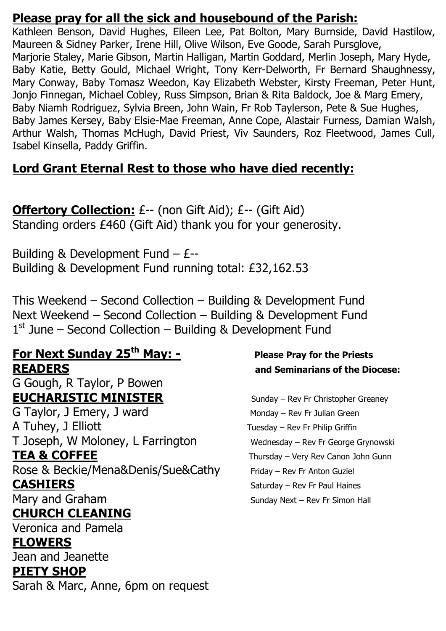### **Please pray for all the sick and housebound of the Parish:**

Kathleen Benson, David Hughes, Eileen Lee, Pat Bolton, Mary Burnside, David Hastilow, Maureen & Sidney Parker, Irene Hill, Olive Wilson, Eve Goode, Sarah Pursglove, Marjorie Staley, Marie Gibson, Martin Halligan, Martin Goddard, Merlin Joseph, Mary Hyde, Baby Katie, Betty Gould, Michael Wright, Tony Kerr-Delworth, Fr Bernard Shaughnessy, Mary Conway, Baby Tomasz Weedon, Kay Elizabeth Webster, Kirsty Freeman, Peter Hunt, Jonjo Finnegan, Michael Cobley, Russ Simpson, Brian & Rita Baldock, Joe & Marg Emery, Baby Niamh Rodriguez, Sylvia Breen, John Wain, Fr Rob Taylerson, Pete & Sue Hughes, Baby James Kersey, Baby Elsie-Mae Freeman, Anne Cope, Alastair Furness, Damian Walsh, Arthur Walsh, Thomas McHugh, David Priest, Viv Saunders, Roz Fleetwood, James Cull, Isabel Kinsella, Paddy Griffin.

## **Lord Grant Eternal Rest to those who have died recently:**

**Offertory Collection:** £-- (non Gift Aid); £-- (Gift Aid) Standing orders £460 (Gift Aid) thank you for your generosity.

Building & Development Fund – £-- Building & Development Fund running total: £32,162.53

This Weekend – Second Collection – Building & Development Fund Next Weekend – Second Collection – Building & Development Fund 1<sup>st</sup> June – Second Collection – Building & Development Fund

### **For Next Sunday 25th May: - Please Pray for the Priests READERS and Seminarians of the Diocese:** G Gough, R Taylor, P Bowen

## **EUCHARISTIC MINISTER** Sunday – Rev Fr Christopher Greaney

G Taylor, J Emery, J ward Monday – Rev Fr Julian Green A Tuhey, J Elliott Tuesday – Rev Fr Philip Griffin T Joseph, W Moloney, L Farrington Wednesday – Rev Fr George Grynowski **TEA & COFFEE** Thursday – Very Rev Canon John Gunn

Rose & Beckie/Mena&Denis/Sue&Cathy Friday – Rev Fr Anton Guziel **CASHIERS** Saturday – Rev Fr Paul Haines

## **CHURCH CLEANING**

Veronica and Pamela

### **FLOWERS**

Jean and Jeanette **PIETY SHOP**

Sarah & Marc, Anne, 6pm on request

Mary and Graham Sunday Next – Rev Fr Simon Hall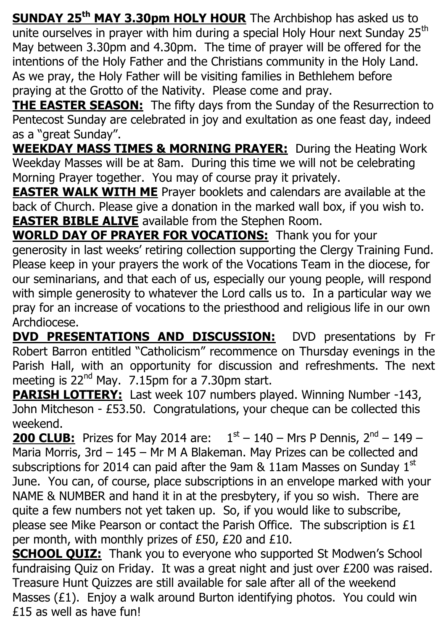**SUNDAY 25th MAY 3.30pm HOLY HOUR** The Archbishop has asked us to unite ourselves in prayer with him during a special Holy Hour next Sunday 25<sup>th</sup> May between 3.30pm and 4.30pm. The time of prayer will be offered for the intentions of the Holy Father and the Christians community in the Holy Land. As we pray, the Holy Father will be visiting families in Bethlehem before praying at the Grotto of the Nativity. Please come and pray.

**THE EASTER SEASON:** The fifty days from the Sunday of the Resurrection to Pentecost Sunday are celebrated in joy and exultation as one feast day, indeed as a "great Sunday".

**WEEKDAY MASS TIMES & MORNING PRAYER:** During the Heating Work Weekday Masses will be at 8am. During this time we will not be celebrating Morning Prayer together. You may of course pray it privately.

**EASTER WALK WITH ME** Prayer booklets and calendars are available at the back of Church. Please give a donation in the marked wall box, if you wish to. **EASTER BIBLE ALIVE** available from the Stephen Room.

**WORLD DAY OF PRAYER FOR VOCATIONS:** Thank you for your generosity in last weeks' retiring collection supporting the Clergy Training Fund. Please keep in your prayers the work of the Vocations Team in the diocese, for our seminarians, and that each of us, especially our young people, will respond with simple generosity to whatever the Lord calls us to. In a particular way we pray for an increase of vocations to the priesthood and religious life in our own Archdiocese.

**DVD PRESENTATIONS AND DISCUSSION:** DVD presentations by Fr Robert Barron entitled "Catholicism" recommence on Thursday evenings in the Parish Hall, with an opportunity for discussion and refreshments. The next meeting is 22<sup>nd</sup> May. 7.15pm for a 7.30pm start.

**PARISH LOTTERY:** Last week 107 numbers played. Winning Number -143, John Mitcheson - £53.50. Congratulations, your cheque can be collected this weekend.

**200 CLUB:** Prizes for May 2014 are:  $1<sup>st</sup> - 140 - Mrs$  P Dennis,  $2<sup>nd</sup> - 149 -$ Maria Morris, 3rd – 145 – Mr M A Blakeman. May Prizes can be collected and subscriptions for 2014 can paid after the 9am  $\&$  11am Masses on Sunday 1st June. You can, of course, place subscriptions in an envelope marked with your NAME & NUMBER and hand it in at the presbytery, if you so wish. There are quite a few numbers not yet taken up. So, if you would like to subscribe, please see Mike Pearson or contact the Parish Office. The subscription is £1 per month, with monthly prizes of £50, £20 and £10.

**SCHOOL QUIZ:** Thank you to everyone who supported St Modwen's School fundraising Quiz on Friday. It was a great night and just over £200 was raised. Treasure Hunt Quizzes are still available for sale after all of the weekend Masses (£1). Enjoy a walk around Burton identifying photos. You could win £15 as well as have fun!